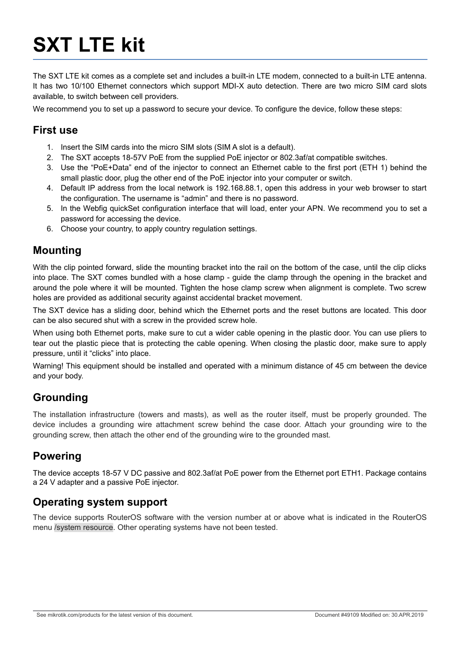# **SXT LTE kit**

The SXT LTE kit comes as a complete set and includes a built-in LTE modem, connected to a built-in LTE antenna. It has two 10/100 Ethernet connectors which support MDI-X auto detection. There are two micro SIM card slots available, to switch between cell providers.

We recommend you to set up a password to secure your device. To configure the device, follow these steps:

#### **First use**

- 1. Insert the SIM cards into the micro SIM slots (SIM A slot is a default).
- 2. The SXT accepts 18-57V PoE from the supplied PoE injector or 802.3af/at compatible switches.
- 3. Use the "PoE+Data" end of the injector to connect an Ethernet cable to the first port (ETH 1) behind the small plastic door, plug the other end of the PoE injector into your computer or switch.
- 4. Default IP address from the local network is 192.168.88.1, open this address in your web browser to start the configuration. The username is "admin" and there is no password.
- 5. In the Webfig quickSet configuration interface that will load, enter your APN. We recommend you to set a password for accessing the device.
- 6. Choose your country, to apply country regulation settings.

### **Mounting**

With the clip pointed forward, slide the mounting bracket into the rail on the bottom of the case, until the clip clicks into place. The SXT comes bundled with a hose clamp - guide the clamp through the opening in the bracket and around the pole where it will be mounted. Tighten the hose clamp screw when alignment is complete. Two screw holes are provided as additional security against accidental bracket movement.

The SXT device has a sliding door, behind which the Ethernet ports and the reset buttons are located. This door can be also secured shut with a screw in the provided screw hole.

When using both Ethernet ports, make sure to cut a wider cable opening in the plastic door. You can use pliers to tear out the plastic piece that is protecting the cable opening. When closing the plastic door, make sure to apply pressure, until it "clicks" into place.

Warning! This equipment should be installed and operated with a minimum distance of 45 cm between the device and your body.

## **Grounding**

The installation infrastructure (towers and masts), as well as the router itself, must be properly grounded. The device includes a grounding wire attachment screw behind the case door. Attach your grounding wire to the grounding screw, then attach the other end of the grounding wire to the grounded mast.

## **Powering**

The device accepts 18-57 V DC passive and 802.3af/at PoE power from the Ethernet port ETH1. Package contains a 24 V adapter and a passive PoE injector.

### **Operating system support**

The device supports RouterOS software with the version number at or above what is indicated in the RouterOS menu /system resource. Other operating systems have not been tested.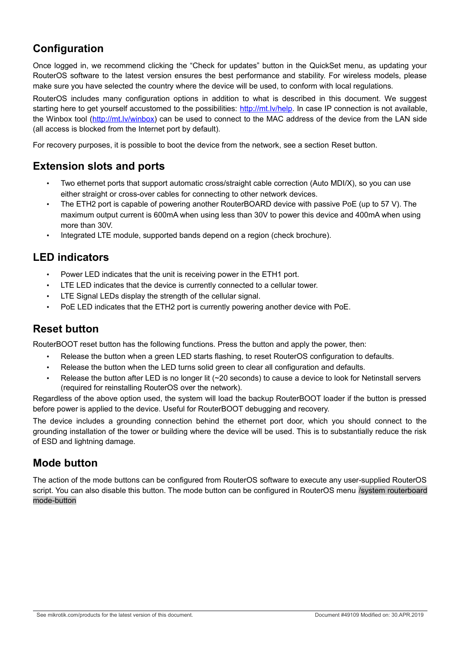## **Configuration**

Once logged in, we recommend clicking the "Check for updates" button in the QuickSet menu, as updating your RouterOS software to the latest version ensures the best performance and stability. For wireless models, please make sure you have selected the country where the device will be used, to conform with local regulations.

RouterOS includes many configuration options in addition to what is described in this document. We suggest starting here to get yourself accustomed to the possibilities: [http://mt.lv/help.](http://mt.lv/help) In case IP connection is not available, the Winbox tool [\(http://mt.lv/winbox\)](http://mt.lv/winbox) can be used to connect to the MAC address of the device from the LAN side (all access is blocked from the Internet port by default).

For recovery purposes, it is possible to boot the device from the network, see a section [Reset button.](#page-1-0)

### **Extension slots and ports**

- Two ethernet ports that support automatic cross/straight cable correction (Auto MDI/X), so you can use either straight or cross-over cables for connecting to other network devices.
- The ETH2 port is capable of powering another RouterBOARD device with passive PoE (up to 57 V). The maximum output current is 600mA when using less than 30V to power this device and 400mA when using more than 30V.
- Integrated LTE module, supported bands depend on a region (check brochure).

### **LED indicators**

- Power LED indicates that the unit is receiving power in the ETH1 port.
- LTE LED indicates that the device is currently connected to a cellular tower.
- LTE Signal LEDs display the strength of the cellular signal.
- PoE LED indicates that the ETH2 port is currently powering another device with PoE.

## <span id="page-1-0"></span>**Reset button**

RouterBOOT reset button has the following functions. Press the button and apply the power, then:

- Release the button when a green LED starts flashing, to reset RouterOS configuration to defaults.
- Release the button when the LED turns solid green to clear all configuration and defaults.
- Release the button after LED is no longer lit (~20 seconds) to cause a device to look for Netinstall servers (required for reinstalling RouterOS over the network).

Regardless of the above option used, the system will load the backup RouterBOOT loader if the button is pressed before power is applied to the device. Useful for RouterBOOT debugging and recovery.

The device includes a grounding connection behind the ethernet port door, which you should connect to the grounding installation of the tower or building where the device will be used. This is to substantially reduce the risk of ESD and lightning damage.

### **Mode button**

The action of the mode buttons can be configured from RouterOS software to execute any user-supplied RouterOS script. You can also disable this button. The mode button can be configured in RouterOS menu /system routerboard mode-button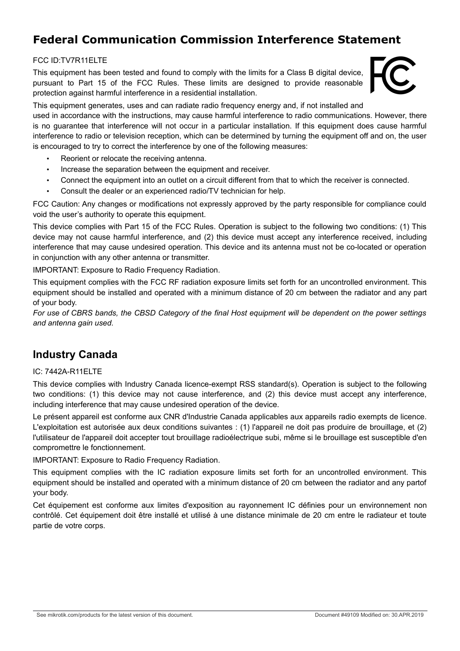## **Federal Communication Commission Interference Statement**

#### FCC ID:TV7R11ELTE

This equipment has been tested and found to comply with the limits for a Class B digital device, pursuant to Part 15 of the FCC Rules. These limits are designed to provide reasonable protection against harmful interference in a residential installation.



This equipment generates, uses and can radiate radio frequency energy and, if not installed and

used in accordance with the instructions, may cause harmful interference to radio communications. However, there is no guarantee that interference will not occur in a particular installation. If this equipment does cause harmful interference to radio or television reception, which can be determined by turning the equipment off and on, the user is encouraged to try to correct the interference by one of the following measures:

- Reorient or relocate the receiving antenna.
- Increase the separation between the equipment and receiver.
- Connect the equipment into an outlet on a circuit different from that to which the receiver is connected.
- Consult the dealer or an experienced radio/TV technician for help.

FCC Caution: Any changes or modifications not expressly approved by the party responsible for compliance could void the user's authority to operate this equipment.

This device complies with Part 15 of the FCC Rules. Operation is subject to the following two conditions: (1) This device may not cause harmful interference, and (2) this device must accept any interference received, including interference that may cause undesired operation. This device and its antenna must not be co-located or operation in conjunction with any other antenna or transmitter.

IMPORTANT: Exposure to Radio Frequency Radiation.

This equipment complies with the FCC RF radiation exposure limits set forth for an uncontrolled environment. This equipment should be installed and operated with a minimum distance of 20 cm between the radiator and any part of your body.

*For use of CBRS bands, the CBSD Category of the final Host equipment will be dependent on the power settings and antenna gain used.* 

### **Industry Canada**

#### IC: 7442A-R11ELTE

This device complies with Industry Canada licence-exempt RSS standard(s). Operation is subject to the following two conditions: (1) this device may not cause interference, and (2) this device must accept any interference, including interference that may cause undesired operation of the device.

Le présent appareil est conforme aux CNR d'Industrie Canada applicables aux appareils radio exempts de licence. L'exploitation est autorisée aux deux conditions suivantes : (1) l'appareil ne doit pas produire de brouillage, et (2) l'utilisateur de l'appareil doit accepter tout brouillage radioélectrique subi, même si le brouillage est susceptible d'en compromettre le fonctionnement.

IMPORTANT: Exposure to Radio Frequency Radiation.

This equipment complies with the IC radiation exposure limits set forth for an uncontrolled environment. This equipment should be installed and operated with a minimum distance of 20 cm between the radiator and any partof your body.

Cet équipement est conforme aux limites d'exposition au rayonnement IC définies pour un environnement non contrôlé. Cet équipement doit être installé et utilisé à une distance minimale de 20 cm entre le radiateur et toute partie de votre corps.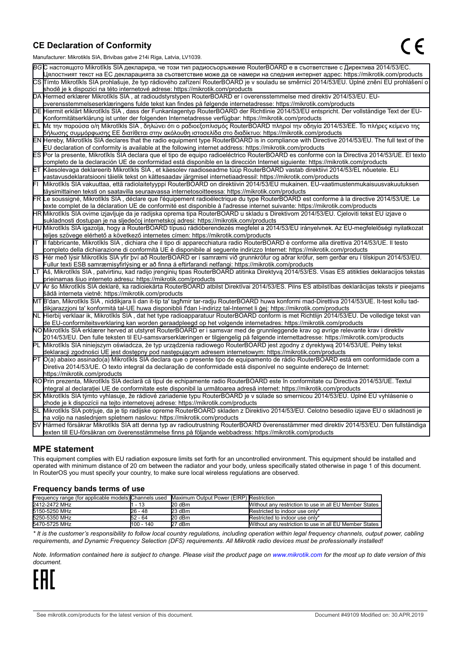#### **CE Declaration of Conformity**

Manufacturer: Mikrotikls SIA, Brivibas gatve 214i Riga, Latvia, LV1039.

|    | $m$ ananaolaici. Mintrolinto Oli I, Dirvibao galvo Z i-ri i tiga, Latvia, Lv 1000                                                                                                                                                                |  |  |  |  |
|----|--------------------------------------------------------------------------------------------------------------------------------------------------------------------------------------------------------------------------------------------------|--|--|--|--|
|    | ВСС настоящото Mikrotīkls SIA декларира, че този тип радиосъоръжение RouterBOARD е в съответствие с Директива 2014/53/ЕС.                                                                                                                        |  |  |  |  |
|    | Цялостният текст на ЕС декларацията за съответствие може да се намери на следния интернет адрес: https://mikrotik.com/products                                                                                                                   |  |  |  |  |
|    | CS Tímto Mikrotīkls SIA prohlašuje, že typ rádiového zařízení RouterBOARD je v souladu se směrnicí 2014/53/EU. Úplné znění EU prohlášení o                                                                                                       |  |  |  |  |
|    | shodě je k dispozici na této internetové adrese: https://mikrotik.com/products                                                                                                                                                                   |  |  |  |  |
|    | DA Hermed erklærer Mikrotīkls SIA, at radioudstyrstypen RouterBOARD er i overensstemmelse med direktiv 2014/53/EU. EU-                                                                                                                           |  |  |  |  |
|    | overensstemmelseserklæringens fulde tekst kan findes på følgende internetadresse: https://mikrotik.com/products                                                                                                                                  |  |  |  |  |
|    | DE Hiermit erklärt Mikrotīkls SIA, dass der Funkanlagentyp RouterBOARD der Richtlinie 2014/53/EU entspricht. Der vollständige Text der EU-                                                                                                       |  |  |  |  |
|    | Konformitätserklärung ist unter der folgenden Internetadresse verfügbar: https://mikrotik.com/products                                                                                                                                           |  |  |  |  |
|    | ΕL Με την παρούσα ο/η Mikrotīkls SIA , δηλώνει ότι ο ραδιοεξοπλισμός RouterBOARD πληροί την οδηγία 2014/53/ΕΕ. Το πλήρες κείμενο της<br> δήλωσης συμμόρφωσης ΕΕ διατίθεται στην ακόλουθη ιστοσελίδα στο διαδίκτυο: https://mikrotik.com/products |  |  |  |  |
|    | EN Hereby, Mikrotīkls SIA declares that the radio equipment type RouterBOARD is in compliance with Directive 2014/53/EU. The full text of the                                                                                                    |  |  |  |  |
|    | EU declaration of conformity is available at the following internet address: https://mikrotik.com/products                                                                                                                                       |  |  |  |  |
|    | ES Por la presente, Mikrotīkls SIA declara que el tipo de equipo radioeléctrico RouterBOARD es conforme con la Directiva 2014/53/UE. El texto                                                                                                    |  |  |  |  |
|    | completo de la declaración UE de conformidad está disponible en la dirección Internet siguiente: https://mikrotik.com/products                                                                                                                   |  |  |  |  |
|    | ET Käesolevaga deklareerib Mikrotīkls SIA, et käesolev raadioseadme tüüp RouterBOARD vastab direktiivi 2014/53/EL nõuetele. ELi                                                                                                                  |  |  |  |  |
|    | vastavusdeklaratsiooni täielik tekst on kättesaadav järgmisel internetiaadressil: https://mikrotik.com/products                                                                                                                                  |  |  |  |  |
|    | Mikrotīkls SIA vakuuttaa, että radiolaitetyyppi RouterBOARD on direktiivin 2014/53/EU mukainen. EU-vaatimustenmukaisuusvakuutuksen                                                                                                               |  |  |  |  |
|    | täysimittainen teksti on saatavilla seuraavassa internetosoitteessa: https://mikrotik.com/products                                                                                                                                               |  |  |  |  |
|    | FR Le soussigné, Mikrotīkls SIA, déclare que l'équipement radioélectrique du type RouterBOARD est conforme à la directive 2014/53/UE. Le                                                                                                         |  |  |  |  |
|    | texte complet de la déclaration UE de conformité est disponible à l'adresse internet suivante: https://mikrotik.com/products                                                                                                                     |  |  |  |  |
|    | HR Mikrotīkls SIA ovime izjavljuje da je radijska oprema tipa RouterBOARD u skladu s Direktivom 2014/53/EU. Cjeloviti tekst EU izjave o                                                                                                          |  |  |  |  |
|    | sukladnosti dostupan je na sljedećoj internetskoj adresi: https://mikrotik.com/products                                                                                                                                                          |  |  |  |  |
|    | HU Mikrotīkls SIA igazolja, hogy a RouterBOARD típusú rádióberendezés megfelel a 2014/53/EU irányelvnek. Az EU-megfelelőségi nyilatkozat                                                                                                         |  |  |  |  |
|    | teljes szövege elérhető a következő internetes címen: https://mikrotik.com/products                                                                                                                                                              |  |  |  |  |
| lΤ | Il fabbricante, Mikrotīkls SIA, dichiara che il tipo di apparecchiatura radio RouterBOARD è conforme alla direttiva 2014/53/UE. Il testo                                                                                                         |  |  |  |  |
|    | completo della dichiarazione di conformità UE è disponibile al seguente indirizzo Internet: https://mikrotik.com/products                                                                                                                        |  |  |  |  |
| IS | Hér með lýsir Mikrotīkls SIA yfir því að RouterBOARD er í samræmi við grunnkröfur og aðrar kröfur, sem gerðar eru í tilskipun 2014/53/EU.                                                                                                        |  |  |  |  |
|    | Fullur texti ESB samræmisyfirlýsing er að finna á eftirfarandi netfangi: https://mikrotik.com/products                                                                                                                                           |  |  |  |  |
| LТ | Aš, Mikrotīkls SIA, patvirtinu, kad radijo įrenginių tipas RouterBOARD atitinka Direktyvą 2014/53/ES. Visas ES atitikties deklaracijos tekstas                                                                                                   |  |  |  |  |
|    | prieinamas šiuo interneto adresu: https://mikrotik.com/products                                                                                                                                                                                  |  |  |  |  |
|    | Ar šo Mikrotīkls SIA deklarē, ka radioiekārta RouterBOARD atbilst Direktīvai 2014/53/ES. Pilns ES atbilstības deklarācijas teksts ir pieejams                                                                                                    |  |  |  |  |
|    | šādā interneta vietnē: https://mikrotik.com/products                                                                                                                                                                                             |  |  |  |  |
|    | MT B'dan, Mikrotīkls SIA, niddikjara li dan it-tip ta' tagħmir tar-radju RouterBOARD huwa konformi mad-Direttiva 2014/53/UE. It-test kollu tad-                                                                                                  |  |  |  |  |
|    | dikjarazzjoni ta' konformità tal-UE huwa disponibbli f'dan l-indirizz tal-Internet li ġej: https://mikrotik.com/products                                                                                                                         |  |  |  |  |
|    | NL Hierbij verklaar ik, Mikrotīkls SIA , dat het type radioapparatuur RouterBOARD conform is met Richtlijn 2014/53/EU. De volledige tekst van                                                                                                    |  |  |  |  |
|    | de EU-conformiteitsverklaring kan worden geraadpleegd op het volgende internetadres: https://mikrotik.com/products                                                                                                                               |  |  |  |  |
|    | NOMikrotīkls SIA erklærer herved at utstyret RouterBOARD er i samsvar med de grunnleggende krav og øvrige relevante krav i direktiv                                                                                                              |  |  |  |  |
|    | 2014/53/EU. Den fulle teksten til EU-samsvarserklæringen er tilgjengelig på følgende internettadresse: https://mikrotik.com/products                                                                                                             |  |  |  |  |
|    | PL Mikrotīkls SIA niniejszym oświadcza, że typ urządzenia radiowego RouterBOARD jest zgodny z dyrektywą 2014/53/UE. Pełny tekst                                                                                                                  |  |  |  |  |
|    | deklaracji zgodności UE jest dostępny pod następującym adresem internetowym: https://mikrotik.com/products                                                                                                                                       |  |  |  |  |
|    | PT O(a) abaixo assinado(a) Mikrotīkls SIA declara que o presente tipo de equipamento de rádio RouterBOARD está em conformidade com a                                                                                                             |  |  |  |  |
|    | Diretiva 2014/53/UE. O texto integral da declaração de conformidade está disponível no seguinte endereço de Internet:                                                                                                                            |  |  |  |  |
|    | https://mikrotik.com/products                                                                                                                                                                                                                    |  |  |  |  |
|    | ROPrin prezenta, Mikrotīkls SIA declară că tipul de echipamente radio RouterBOARD este în conformitate cu Directiva 2014/53/UE. Textul                                                                                                           |  |  |  |  |
|    | integral al declaratiei UE de conformitate este disponibil la următoarea adresă internet: https://mikrotik.com/products                                                                                                                          |  |  |  |  |
|    | SK Mikrotīkls SIA týmto vyhlasuje, že rádiové zariadenie typu RouterBOARD je v súlade so smernicou 2014/53/EÚ. Úplné EÚ vyhlásenie o                                                                                                             |  |  |  |  |
|    | zhode je k dispozícii na tejto internetovej adrese: https://mikrotik.com/products                                                                                                                                                                |  |  |  |  |
|    | SL Mikrotīkls SIA potrjuje, da je tip radijske opreme RouterBOARD skladen z Direktivo 2014/53/EU. Celotno besedilo izjave EU o skladnosti je                                                                                                     |  |  |  |  |
|    | na voljo na naslednjem spletnem naslovu: https://mikrotik.com/products                                                                                                                                                                           |  |  |  |  |
|    | SV Härmed försäkrar Mikrotīkls SIA att denna typ av radioutrustning RouterBOARD överensstämmer med direktiv 2014/53/EU. Den fullständiga                                                                                                         |  |  |  |  |
|    | texten till EU-försäkran om överensstämmelse finns på följande webbadress: https://mikrotik.com/products                                                                                                                                         |  |  |  |  |

#### **MPE statement**

This equipment complies with EU radiation exposure limits set forth for an uncontrolled environment. This equipment should be installed and operated with minimum distance of 20 cm between the radiator and your body, unless specifically stated otherwise in page 1 of this document. In RouterOS you must specify your country, to make sure local wireless regulations are observed.

#### **Frequency bands terms of use**

| Frequency range (for applicable models) Channels used Maximum Output Power (EIRP) Restriction |           |          |                                                        |
|-----------------------------------------------------------------------------------------------|-----------|----------|--------------------------------------------------------|
| 2412-2472 MHz                                                                                 | - 13      | $20$ dBm | Without any restriction to use in all EU Member States |
| 5150-5250 MHz                                                                                 | 26 - 48   | 23 dBm   | Restricted to indoor use only*                         |
| 5250-5350 MHz                                                                                 | 52 - 64   | $20$ dBm | Restricted to indoor use only*                         |
| 5470-5725 MHz                                                                                 | 100 - 140 | 27 dBm   | Without any restriction to use in all EU Member States |

*\* It is the customer's responsibility to follow local country regulations, including operation within legal frequency channels, output power, cabling requirements, and Dynamic Frequency Selection (DFS) requirements. All Mikrotik radio devices must be professionally installed!*

*Note. Information contained here is subject to change. Please visit the product page on [www.mikrotik.com](http://www.mikrotik.com/) for the most up to date version of this document.*